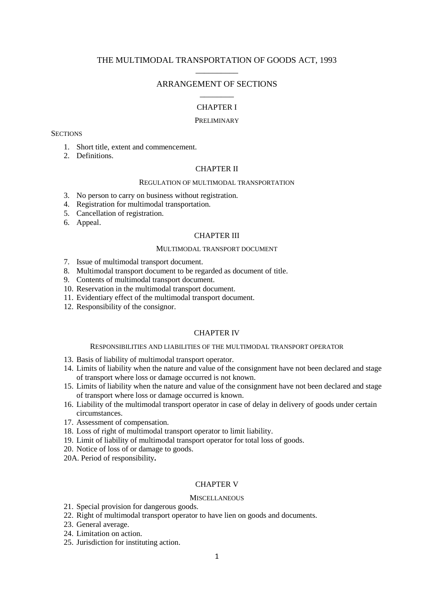# THE MULTIMODAL TRANSPORTATION OF GOODS ACT, 1993 \_\_\_\_\_\_\_\_\_\_

# ARRANGEMENT OF SECTIONS \_\_\_\_\_\_\_\_

### CHAPTER I

#### PRELIMINARY

#### **SECTIONS**

- 1. Short title, extent and commencement.
- 2. Definitions.

## CHAPTER II

#### REGULATION OF MULTIMODAL TRANSPORTATION

- 3. No person to carry on business without registration.
- 4. Registration for multimodal transportation.
- 5. Cancellation of registration.
- 6. Appeal.

#### CHAPTER III

#### MULTIMODAL TRANSPORT DOCUMENT

- 7. Issue of multimodal transport document.
- 8. Multimodal transport document to be regarded as document of title.
- 9. Contents of multimodal transport document.
- 10. Reservation in the multimodal transport document.
- 11. Evidentiary effect of the multimodal transport document.
- 12. Responsibility of the consignor.

#### CHAPTER IV

## RESPONSIBILITIES AND LIABILITIES OF THE MULTIMODAL TRANSPORT OPERATOR

- 13. Basis of liability of multimodal transport operator.
- 14. Limits of liability when the nature and value of the consignment have not been declared and stage of transport where loss or damage occurred is not known.
- 15. Limits of liability when the nature and value of the consignment have not been declared and stage of transport where loss or damage occurred is known.
- 16. Liability of the multimodal transport operator in case of delay in delivery of goods under certain circumstances.
- 17. Assessment of compensation.
- 18. Loss of right of multimodal transport operator to limit liability.
- 19. Limit of liability of multimodal transport operator for total loss of goods.
- 20. Notice of loss of or damage to goods.
- 20A. Period of responsibility**.**

# CHAPTER V

#### **MISCELLANEOUS**

- 21. Special provision for dangerous goods.
- 22. Right of multimodal transport operator to have lien on goods and documents.
- 23. General average.
- 24. Limitation on action.
- 25. Jurisdiction for instituting action.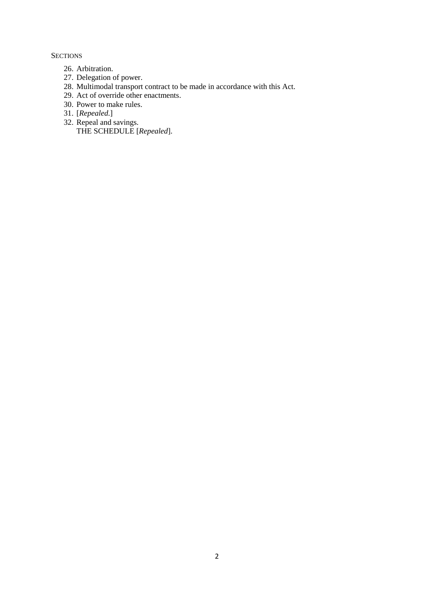**SECTIONS** 

- 26. Arbitration.
- 27. Delegation of power.
- 28. Multimodal transport contract to be made in accordance with this Act.
- 29. Act of override other enactments.
- 30. Power to make rules.
- 31. [*Repealed*.]
- 32. Repeal and savings. THE SCHEDULE [*Repealed*].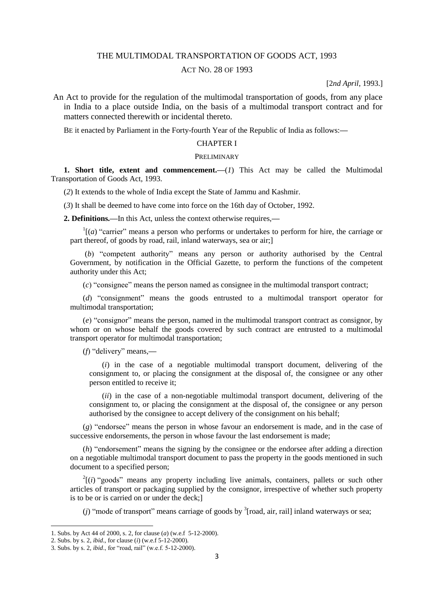## THE MULTIMODAL TRANSPORTATION OF GOODS ACT, 1993

## ACT NO. 28 OF 1993

[2*nd April*, 1993.]

An Act to provide for the regulation of the multimodal transportation of goods, from any place in India to a place outside India, on the basis of a multimodal transport contract and for matters connected therewith or incidental thereto.

BE it enacted by Parliament in the Forty-fourth Year of the Republic of India as follows:**—**

## CHAPTER I

#### PRELIMINARY

**1. Short title, extent and commencement.**—(*1*) This Act may be called the Multimodal Transportation of Goods Act, 1993.

(*2*) It extends to the whole of India except the State of Jammu and Kashmir.

(*3*) It shall be deemed to have come into force on the 16th day of October, 1992.

**2. Definitions.—**In this Act, unless the context otherwise requires,**—**

 $\Gamma$ <sup>1</sup>[\[\(](http://indiankanoon.org/doc/718392/)*a*) "carrier" means a person who performs or undertakes to perform for hire, the carriage or part thereof, of goods by road, rail, inland waterways, sea or air;]

(*b*) "competent authority" means any person or authority authorised by the Central Government, by notification in the Official Gazette, to perform the functions of the competent authority under this Act;

(*c*) "consignee" means the person named as consignee in the multimodal transport contract;

(*d*) "consignment" means the goods entrusted to a multimodal transport operator for multimodal transportation;

(*e*) "consignor" means the person, named in the multimodal transport contract as consignor, by whom or on whose behalf the goods covered by such contract are entrusted to a multimodal transport operator for multimodal transportation;

(*f*) "delivery" means,**—**

(*i*) in the case of a negotiable multimodal transport document, delivering of the consignment to, or placing the consignment at the disposal of, the consignee or any other person entitled to receive it;

(*ii*) in the case of a non-negotiable multimodal transport document, delivering of the consignment to, or placing the consignment at the disposal of, the consignee or any person authorised by the consignee to accept delivery of the consignment on his behalf;

(*g*) "endorsee" means the person in whose favour an endorsement is made, and in the case of successive endorsements, the person in whose favour the last endorsement is made;

(*h*) "endorsement" means the signing by the consignee or the endorsee after adding a direction on a negotiable multimodal transport document to pass the property in the goods mentioned in such document to a specified person;

 $2[(i)$  $2[(i)$  $2[(i)$  "goods" means any property including live animals, containers, pallets or such other articles of transport or packaging supplied by the consignor, irrespective of whether such property is to be or is carried on or under the deck;]

(*j*) "mode of transport" means carriage of goods by  $\frac{3}{7}$  [road, air, rail] inland waterways or sea;

<sup>1.</sup> Subs. by Act 44 of 2000, s. 2, for clause (*a*) (w.e.f 5-12-2000).

<sup>2.</sup> Subs. by s. 2, *ibid*., for clause (*i*) (w.e.f 5-12-2000).

<sup>3.</sup> Subs. by s. 2, *ibid*., for "road, rail" (w.e.f. 5-12-2000).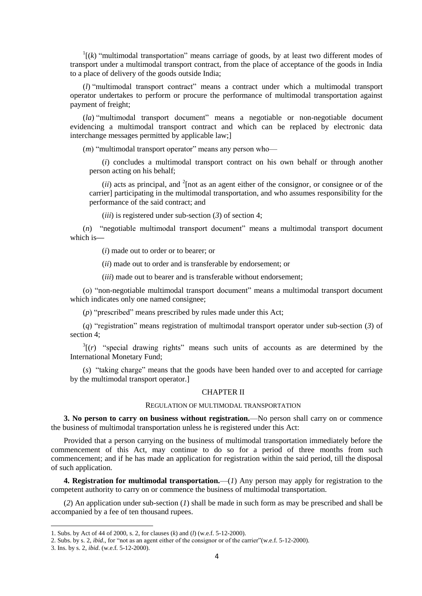$\int_{1}^{1}(k)$  "multimodal transportation" means carriage of goods, by at least two different modes of transport under a multimodal transport contract, from the place of acceptance of the goods in India to a place of delivery of the goods outside India;

[\(](http://indiankanoon.org/doc/1681954/)*l*) "multimodal transport contract" means a contract under which a multimodal transport operator undertakes to perform or procure the performance of multimodal transportation against payment of freight;

(*[la](http://indiankanoon.org/doc/876418/)*) "multimodal transport document" means a negotiable or non-negotiable document evidencing a multimodal transport contract and which can be replaced by electronic data interchange messages permitted by applicable law;]

(*m*) "multimodal transport operator" means any person who—

(*i*) concludes a multimodal transport contract on his own behalf or through another person acting on his behalf;

 $(ii)$  acts as principal, and <sup>2</sup>[not as an agent either of the consignor, or consignee or of the carrier] participating in the multimodal transportation, and who assumes responsibility for the performance of the said contract; and

(*iii*) is registered under sub-section (*3*) of section 4;

(*n*) "negotiable multimodal transport document" means a multimodal transport document which is**—**

(*i*) made out to order or to bearer; or

(*ii*) made out to order and is transferable by endorsement; or

(*iii*) made out to bearer and is transferable without endorsement;

(*o*) "non-negotiable multimodal transport document" means a multimodal transport document which indicates only one named consignee;

(*p*) "prescribed" means prescribed by rules made under this Act;

(*q*) "registration" means registration of multimodal transport operator under sub-section (*3*) of section 4;

 $3(r)$  "special drawing rights" means such units of accounts as are determined by the International Monetary Fund;

(*[s](http://indiankanoon.org/doc/731521/)*) "taking charge" means that the goods have been handed over to and accepted for carriage by the multimodal transport operator.]

## CHAPTER II

#### REGULATION OF MULTIMODAL TRANSPORTATION

**3. No person to carry on business without registration.**—No person shall carry on or commence the business of multimodal transportation unless he is registered under this Act:

Provided that a person carrying on the business of multimodal transportation immediately before the commencement of this Act, may continue to do so for a period of three months from such commencement; and if he has made an application for registration within the said period, till the disposal of such application.

**4. Registration for multimodal transportation.**—(*1*) Any person may apply for registration to the competent authority to carry on or commence the business of multimodal transportation.

(*2*) An application under sub-section (*1*) shall be made in such form as may be prescribed and shall be accompanied by a fee of ten thousand rupees.

<sup>1.</sup> Subs. by Act of 44 of 2000, s. 2, for clauses (*k*) and (*l*) (w.e.f. 5-12-2000).

<sup>2.</sup> Subs. by s. 2, *ibid*., for "not as an agent either of the consignor or of the carrier"(w.e.f. 5-12-2000).

<sup>3.</sup> Ins. by s. 2, *ibid*. (w.e.f. 5-12-2000).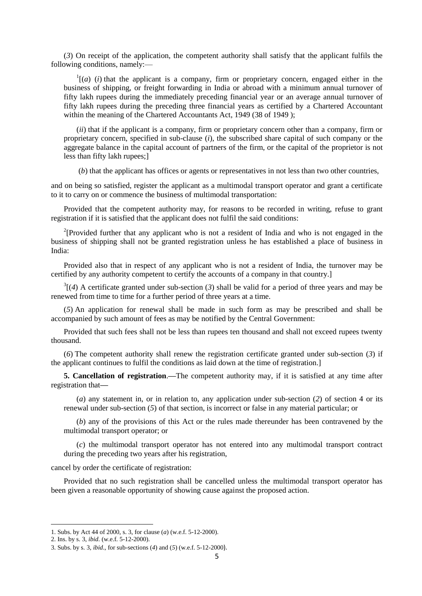(*3*) On receipt of the application, the competent authority shall satisfy that the applicant fulfils the following conditions, namely:—

 $\Gamma$ <sup>1</sup>[[\(](http://indiankanoon.org/doc/426921/)*a*) (*i*) that the applicant is a company, firm or proprietary concern, engaged either in the business of shipping, or freight forwarding in India or abroad with a minimum annual turnover of fifty lakh rupees during the immediately preceding financial year or an average annual turnover of fifty lakh rupees during the preceding three financial years as certified by a Chartered Accountant within the meaning of the Chartered Accountants Act, 1949 (38 of 1949);

(*[ii](http://indiankanoon.org/doc/673230/)*) that if the applicant is a company, firm or proprietary concern other than a company, firm or proprietary concern, specified in sub-clause (*i*), the subscribed share capital of such company or the aggregate balance in the capital account of partners of the firm, or the capital of the proprietor is not less than fifty lakh rupees;]

(*b*) that the applicant has offices or agents or representatives in not less than two other countries,

and on being so satisfied, register the applicant as a multimodal transport operator and grant a certificate to it to carry on or commence the business of multimodal transportation:

Provided that the competent authority may, for reasons to be recorded in writing, refuse to grant registration if it is satisfied that the applicant does not fulfil the said conditions:

<sup>2</sup>[Provided further that any applicant who is not a resident of India and who is not engaged in the business of shipping shall not be granted registration unless he has established a place of business in India:

Provided also that in respect of any applicant who is not a resident of India, the turnover may be certified by any authority competent to certify the accounts of a company in that country.]

 $3\left[\left(4\right)$  A certificate granted under sub-section (3) shall be valid for a period of three years and may be renewed from time to time for a further period of three years at a time.

(*[5](http://indiankanoon.org/doc/778529/)*) An application for renewal shall be made in such form as may be prescribed and shall be accompanied by such amount of fees as may be notified by the Central Government:

Provided that such fees shall not be less than rupees ten thousand and shall not exceed rupees twenty thousand.

(*[6](http://indiankanoon.org/doc/1013731/)*) The competent authority shall renew the registration certificate granted under sub-section (*3*) if the applicant continues to fulfil the conditions as laid down at the time of registration.]

**5. Cancellation of registration**.**—**The competent authority may, if it is satisfied at any time after registration that**—**

(*a*) any statement in, or in relation to, any application under sub-section (*2*) of section 4 or its renewal under sub-section (*5*) of that section, is incorrect or false in any material particular; or

(*b*) any of the provisions of this Act or the rules made thereunder has been contravened by the multimodal transport operator; or

(*c*) the multimodal transport operator has not entered into any multimodal transport contract during the preceding two years after his registration,

#### cancel by order the certificate of registration:

Provided that no such registration shall be cancelled unless the multimodal transport operator has been given a reasonable opportunity of showing cause against the proposed action.

**.** 

<sup>1.</sup> Subs. by Act 44 of 2000, s. 3, for clause (*a*) (w.e.f. 5-12-2000).

<sup>2.</sup> Ins. by s. 3, *ibid*. (w.e.f. 5-12-2000).

<sup>3.</sup> Subs. by s. 3, *ibid*., for sub-sections (*4*) and (*5*) (w.e.f. 5-12-2000).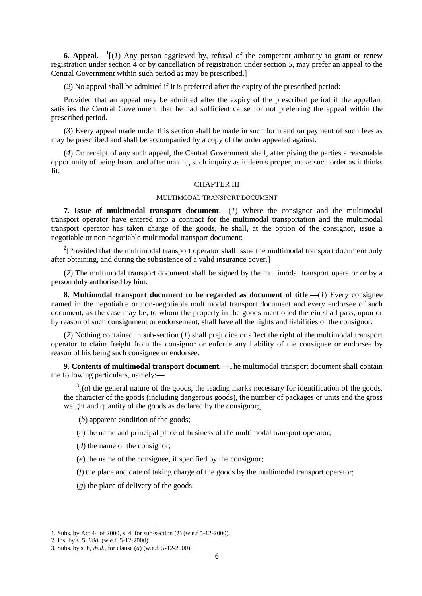**6. Appeal.**— $^1$ [(*1*) Any person aggrieved by, refusal of the competent authority to grant or renew registration under section 4 or by cancellation of registration under section 5, may prefer an appeal to the Central Government within such period as may be prescribed.]

(*2*) No appeal shall be admitted if it is preferred after the expiry of the prescribed period:

Provided that an appeal may be admitted after the expiry of the prescribed period if the appellant satisfies the Central Government that he had sufficient cause for not preferring the appeal within the prescribed period.

(*3*) Every appeal made under this section shall be made in such form and on payment of such fees as may be prescribed and shall be accompanied by a copy of the order appealed against.

(*4*) On receipt of any such appeal, the Central Government shall, after giving the parties a reasonable opportunity of being heard and after making such inquiry as it deems proper, make such order as it thinks fit.

### CHAPTER III

### MULTIMODAL TRANSPORT DOCUMENT

**7. Issue of multimodal transport document**.**—**(*1*) Where the consignor and the multimodal transport operator have entered into a contract for the multimodal transportation and the multimodal transport operator has taken charge of the goods, he shall, at the option of the consignor, issue a negotiable or non-negotiable multimodal transport document:

<sup>2</sup>[Provided that the multimodal transport operator shall issue the multimodal transport document only after obtaining, and during the subsistence of a valid insurance cover.]

(*2*) The multimodal transport document shall be signed by the multimodal transport operator or by a person duly authorised by him.

**8. Multimodal transport document to be regarded as document of title**.**—**(*1*) Every consignee named in the negotiable or non-negotiable multimodal transport document and every endorsee of such document, as the case may be, to whom the property in the goods mentioned therein shall pass, upon or by reason of such consignment or endorsement, shall have all the rights and liabilities of the consignor.

(*2*) Nothing contained in sub-section (*1*) shall prejudice or affect the right of the multimodal transport operator to claim freight from the consignor or enforce any liability of the consignee or endorsee by reason of his being such consignee or endorsee.

**9. Contents of multimodal transport document.—**The multimodal transport document shall contain the following particulars, namely:**—**

 $3\vert(a)$  the general nature of the goods, the leading marks necessary for identification of the goods, the character of the goods (including dangerous goods), the number of packages or units and the gross weight and quantity of the goods as declared by the consignor;]

(*b*) apparent condition of the goods;

(*c*) the name and principal place of business of the multimodal transport operator;

(*d*) the name of the consignor;

(*e*) the name of the consignee, if specified by the consignor;

(*f*) the place and date of taking charge of the goods by the multimodal transport operator;

(*g*) the place of delivery of the goods;

<sup>1.</sup> Subs. by Act 44 of 2000, s. 4, for sub-section (*1*) (w.e.f 5-12-2000).

<sup>2.</sup> Ins. by s. 5, *ibid*. (w.e.f. 5-12-2000).

<sup>3.</sup> Subs. by s. 6, *ibid*., for clause (*a*) (w.e.f. 5-12-2000).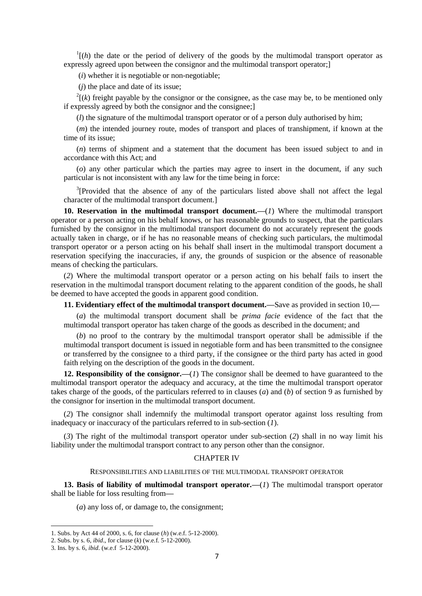$\ln \left( h \right)$  the date or the period of delivery of the goods by the multimodal transport operator as expressly agreed upon between the consignor and the multimodal transport operator;

(*i*) whether it is negotiable or non-negotiable;

(*j*) the place and date of its issue;

 $2^{2}(k)$  freight payable by the consignor or the consignee, as the case may be, to be mentioned only if expressly agreed by both the consignor and the consignee;]

(*l*) the signature of the multimodal transport operator or of a person duly authorised by him;

(*m*) the intended journey route, modes of transport and places of transhipment, if known at the time of its issue;

(*n*) terms of shipment and a statement that the document has been issued subject to and in accordance with this Act; and

(*o*) any other particular which the parties may agree to insert in the document, if any such particular is not inconsistent with any law for the time being in force:

 $3$ [Provided that the absence of any of the particulars listed above shall not affect the legal character of the multimodal transport document.]

**10. Reservation in the multimodal transport document.—**(*1*) Where the multimodal transport operator or a person acting on his behalf knows, or has reasonable grounds to suspect, that the particulars furnished by the consignor in the multimodal transport document do not accurately represent the goods actually taken in charge, or if he has no reasonable means of checking such particulars, the multimodal transport operator or a person acting on his behalf shall insert in the multimodal transport document a reservation specifying the inaccuracies, if any, the grounds of suspicion or the absence of reasonable means of checking the particulars.

(*2*) Where the multimodal transport operator or a person acting on his behalf fails to insert the reservation in the multimodal transport document relating to the apparent condition of the goods, he shall be deemed to have accepted the goods in apparent good condition.

**11. Evidentiary effect of the multimodal transport document.—**Save as provided in section 10,**—**

(*a*) the multimodal transport document shall be *prima facie* evidence of the fact that the multimodal transport operator has taken charge of the goods as described in the document; and

(*b*) no proof to the contrary by the multimodal transport operator shall be admissible if the multimodal transport document is issued in negotiable form and has been transmitted to the consignee or transferred by the consignee to a third party, if the consignee or the third party has acted in good faith relying on the description of the goods in the document.

**12. Responsibility of the consignor.—**(*1*) The consignor shall be deemed to have guaranteed to the multimodal transport operator the adequacy and accuracy, at the time the multimodal transport operator takes charge of the goods, of the particulars referred to in clauses (*a*) and (*b*) of section 9 as furnished by the consignor for insertion in the multimodal transport document.

(*2*) The consignor shall indemnify the multimodal transport operator against loss resulting from inadequacy or inaccuracy of the particulars referred to in sub-section (*1*).

(*3*) The right of the multimodal transport operator under sub-section (*2*) shall in no way limit his liability under the multimodal transport contract to any person other than the consignor.

# CHAPTER IV

## RESPONSIBILITIES AND LIABILITIES OF THE MULTIMODAL TRANSPORT OPERATOR

**13. Basis of liability of multimodal transport operator.—**(*1*) The multimodal transport operator shall be liable for loss resulting from**—**

(*a*) any loss of, or damage to, the consignment;

<sup>1.</sup> Subs. by Act 44 of 2000, s. 6, for clause (*h*) (w.e.f. 5-12-2000).

<sup>2.</sup> Subs. by s. 6, *ibid*., for clause (*k*) (w.e.f. 5-12-2000).

<sup>3.</sup> Ins. by s. 6, *ibid*. (w.e.f 5-12-2000).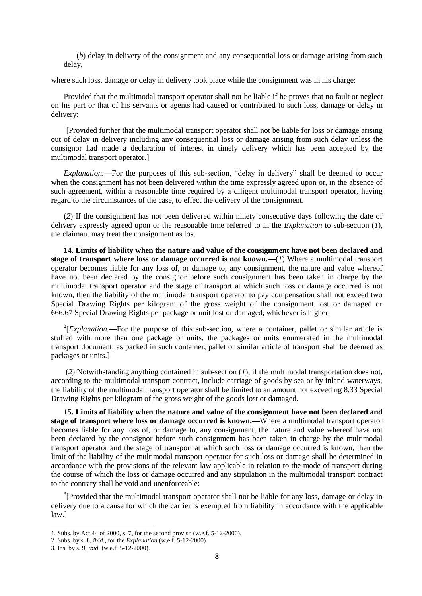(*b*) delay in delivery of the consignment and any consequential loss or damage arising from such delay,

where such loss, damage or delay in delivery took place while the consignment was in his charge:

Provided that the multimodal transport operator shall not be liable if he proves that no fault or neglect on his part or that of his servants or agents had caused or contributed to such loss, damage or delay in delivery:

<sup>1</sup>[Provided further that the multimodal transport operator shall not be liable for loss or damage arising out of delay in delivery including any consequential loss or damage arising from such delay unless the consignor had made a declaration of interest in timely delivery which has been accepted by the multimodal transport operator.]

*Explanation.***—**For the purposes of this sub-section, "delay in delivery" shall be deemed to occur when the consignment has not been delivered within the time expressly agreed upon or, in the absence of such agreement, within a reasonable time required by a diligent multimodal transport operator, having regard to the circumstances of the case, to effect the delivery of the consignment.

(*2*) If the consignment has not been delivered within ninety consecutive days following the date of delivery expressly agreed upon or the reasonable time referred to in the *Explanation* to sub-section (*1*), the claimant may treat the consignment as lost.

**14. Limits of liability when the nature and value of the consignment have not been declared and stage of transport where loss or damage occurred is not known.—**(*1*) Where a multimodal transport operator becomes liable for any loss of, or damage to, any consignment, the nature and value whereof have not been declared by the consignor before such consignment has been taken in charge by the multimodal transport operator and the stage of transport at which such loss or damage occurred is not known, then the liability of the multimodal transport operator to pay compensation shall not exceed two Special Drawing Rights per kilogram of the gross weight of the consignment lost or damaged or 666.67 Special Drawing Rights per package or unit lost or damaged, whichever is higher.

 $2$ <sup>2</sup>[*Explanation*.—For the purpose of this sub-section, where a container, pallet or similar article is stuffed with more than one package or units, the packages or units enumerated in the multimodal transport document, as packed in such container, pallet or similar article of transport shall be deemed as packages or units.]

(*2*) Notwithstanding anything contained in sub-section (*1*), if the multimodal transportation does not, according to the multimodal transport contract, include carriage of goods by sea or by inland waterways, the liability of the multimodal transport operator shall be limited to an amount not exceeding 8.33 Special Drawing Rights per kilogram of the gross weight of the goods lost or damaged.

**15. Limits of liability when the nature and value of the consignment have not been declared and stage of transport where loss or damage occurred is known.—**Where a multimodal transport operator becomes liable for any loss of, or damage to, any consignment, the nature and value whereof have not been declared by the consignor before such consignment has been taken in charge by the multimodal transport operator and the stage of transport at which such loss or damage occurred is known, then the limit of the liability of the multimodal transport operator for such loss or damage shall be determined in accordance with the provisions of the relevant law applicable in relation to the mode of transport during the course of which the loss or damage occurred and any stipulation in the multimodal transport contract to the contrary shall be void and unenforceable:

 $3$ [Provided that the multimodal transport operator shall not be liable for any loss, damage or delay in delivery due to a cause for which the carrier is exempted from liability in accordance with the applicable law.]

<sup>1.</sup> Subs. by Act 44 of 2000, s. 7, for the second proviso (w.e.f. 5-12-2000).

<sup>2.</sup> Subs. by s. 8, *ibid*., for the *Explanation* (w.e.f. 5-12-2000).

<sup>3.</sup> Ins. by s. 9, *ibid*. (w.e.f. 5-12-2000).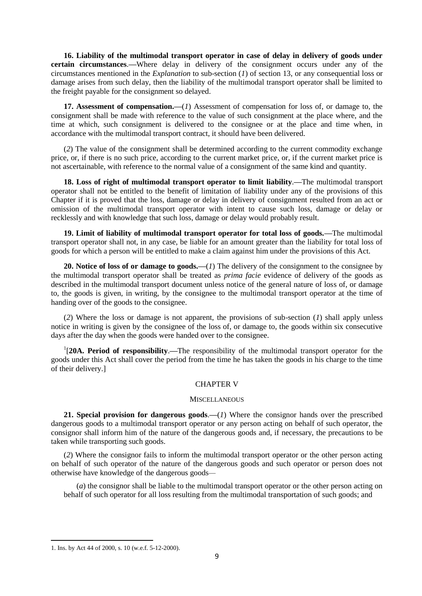**16. Liability of the multimodal transport operator in case of delay in delivery of goods under certain circumstances**.**—**Where delay in delivery of the consignment occurs under any of the circumstances mentioned in the *Explanation* to sub-section (*1*) of section 13, or any consequential loss or damage arises from such delay, then the liability of the multimodal transport operator shall be limited to the freight payable for the consignment so delayed.

**17. Assessment of compensation.—**(*1*) Assessment of compensation for loss of, or damage to, the consignment shall be made with reference to the value of such consignment at the place where, and the time at which, such consignment is delivered to the consignee or at the place and time when, in accordance with the multimodal transport contract, it should have been delivered.

(*2*) The value of the consignment shall be determined according to the current commodity exchange price, or, if there is no such price, according to the current market price, or, if the current market price is not ascertainable, with reference to the normal value of a consignment of the same kind and quantity.

**18. Loss of right of multimodal transport operator to limit liability**.**—**The multimodal transport operator shall not be entitled to the benefit of limitation of liability under any of the provisions of this Chapter if it is proved that the loss, damage or delay in delivery of consignment resulted from an act or omission of the multimodal transport operator with intent to cause such loss, damage or delay or recklessly and with knowledge that such loss, damage or delay would probably result.

**19. Limit of liability of multimodal transport operator for total loss of goods.—**The multimodal transport operator shall not, in any case, be liable for an amount greater than the liability for total loss of goods for which a person will be entitled to make a claim against him under the provisions of this Act.

**20. Notice of loss of or damage to goods.—**(*1*) The delivery of the consignment to the consignee by the multimodal transport operator shall be treated as *prima facie* evidence of delivery of the goods as described in the multimodal transport document unless notice of the general nature of loss of, or damage to, the goods is given, in writing, by the consignee to the multimodal transport operator at the time of handing over of the goods to the consignee.

(*2*) Where the loss or damage is not apparent, the provisions of sub-section (*1*) shall apply unless notice in writing is given by the consignee of the loss of, or damage to, the goods within six consecutive days after the day when the goods were handed over to the consignee.

1 [**20A. Period of responsibility**.**—**The responsibility of the multimodal transport operator for the goods under this Act shall cover the period from the time he has taken the goods in his charge to the time of their delivery.]

## CHAPTER V

## **MISCELLANEOUS**

**21. Special provision for dangerous goods**.*—*(*1*) Where the consignor hands over the prescribed dangerous goods to a multimodal transport operator or any person acting on behalf of such operator, the consignor shall inform him of the nature of the dangerous goods and, if necessary, the precautions to be taken while transporting such goods.

(*2*) Where the consignor fails to inform the multimodal transport operator or the other person acting on behalf of such operator of the nature of the dangerous goods and such operator or person does not otherwise have knowledge of the dangerous goods*—*

(*a*) the consignor shall be liable to the multimodal transport operator or the other person acting on behalf of such operator for all loss resulting from the multimodal transportation of such goods; and

<sup>1.</sup> Ins. by Act 44 of 2000, s. 10 (w.e.f. 5-12-2000).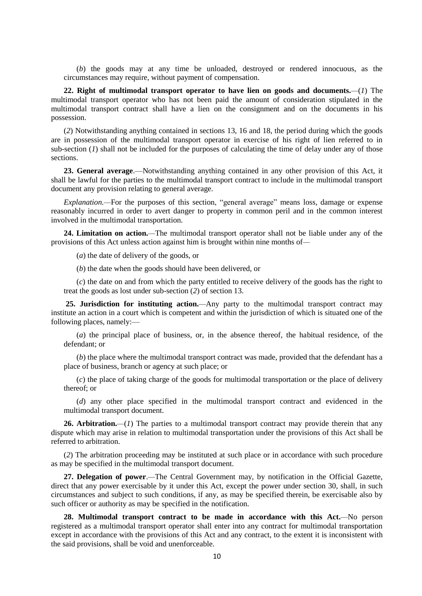(*b*) the goods may at any time be unloaded, destroyed or rendered innocuous, as the circumstances may require, without payment of compensation.

**22. Right of multimodal transport operator to have lien on goods and documents.***—*(*1*) The multimodal transport operator who has not been paid the amount of consideration stipulated in the multimodal transport contract shall have a lien on the consignment and on the documents in his possession.

(*2*) Notwithstanding anything contained in sections 13, 16 and 18, the period during which the goods are in possession of the multimodal transport operator in exercise of his right of lien referred to in sub-section (*1*) shall not be included for the purposes of calculating the time of delay under any of those sections.

**23. General average**.—Notwithstanding anything contained in any other provision of this Act, it shall be lawful for the parties to the multimodal transport contract to include in the multimodal transport document any provision relating to general average.

*Explanation.—*For the purposes of this section, "general average" means loss, damage or expense reasonably incurred in order to avert danger to property in common peril and in the common interest involved in the multimodal transportation.

**24. Limitation on action.***—*The multimodal transport operator shall not be liable under any of the provisions of this Act unless action against him is brought within nine months of*—*

(*a*) the date of delivery of the goods, or

(*b*) the date when the goods should have been delivered, or

(*c*) the date on and from which the party entitled to receive delivery of the goods has the right to treat the goods as lost under sub-section (*2*) of section 13.

**25. Jurisdiction for instituting action.***—*Any party to the multimodal transport contract may institute an action in a court which is competent and within the jurisdiction of which is situated one of the following places, namely:—

(*a*) the principal place of business, or, in the absence thereof, the habitual residence, of the defendant; or

(*b*) the place where the multimodal transport contract was made, provided that the defendant has a place of business, branch or agency at such place; or

(*c*) the place of taking charge of the goods for multimodal transportation or the place of delivery thereof; or

(*d*) any other place specified in the multimodal transport contract and evidenced in the multimodal transport document.

**26. Arbitration.***—*(*1*) The parties to a multimodal transport contract may provide therein that any dispute which may arise in relation to multimodal transportation under the provisions of this Act shall be referred to arbitration.

(*2*) The arbitration proceeding may be instituted at such place or in accordance with such procedure as may be specified in the multimodal transport document.

**27. Delegation of power**.*—*The Central Government may, by notification in the Official Gazette, direct that any power exercisable by it under this Act, except the power under section 30, shall, in such circumstances and subject to such conditions, if any, as may be specified therein, be exercisable also by such officer or authority as may be specified in the notification.

**28. Multimodal transport contract to be made in accordance with this Act.***—*No person registered as a multimodal transport operator shall enter into any contract for multimodal transportation except in accordance with the provisions of this Act and any contract, to the extent it is inconsistent with the said provisions, shall be void and unenforceable.